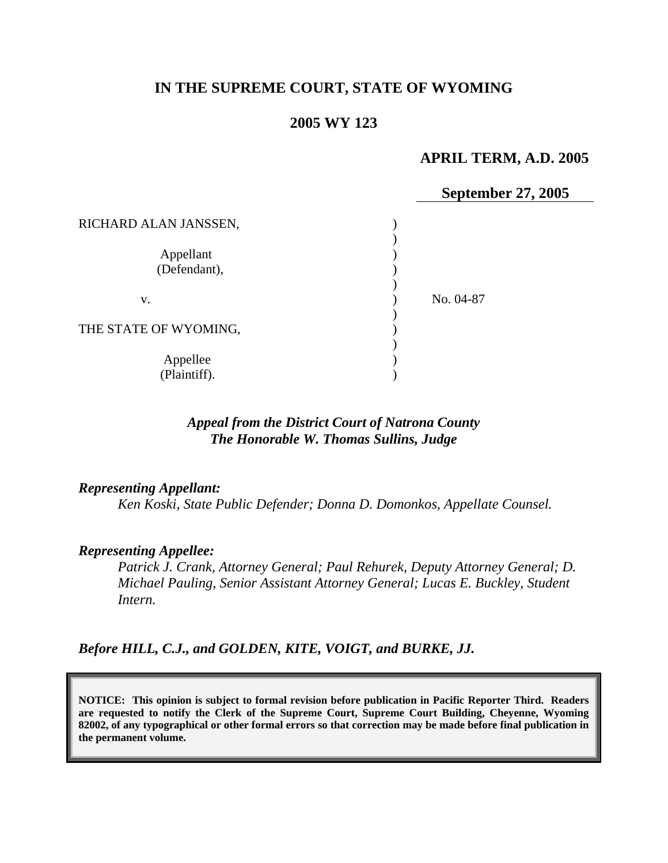# **IN THE SUPREME COURT, STATE OF WYOMING**

### **2005 WY 123**

# **APRIL TERM, A.D. 2005**

|                           | September 27, 2005 |
|---------------------------|--------------------|
| RICHARD ALAN JANSSEN,     |                    |
| Appellant<br>(Defendant), |                    |
| V.                        | No. 04-87          |
| THE STATE OF WYOMING,     |                    |
| Appellee<br>(Plaintiff).  |                    |

## *Appeal from the District Court of Natrona County The Honorable W. Thomas Sullins, Judge*

#### *Representing Appellant:*

*Ken Koski, State Public Defender; Donna D. Domonkos, Appellate Counsel.* 

#### *Representing Appellee:*

*Patrick J. Crank, Attorney General; Paul Rehurek, Deputy Attorney General; D. Michael Pauling, Senior Assistant Attorney General; Lucas E. Buckley, Student Intern.* 

*Before HILL, C.J., and GOLDEN, KITE, VOIGT, and BURKE, JJ.* 

**NOTICE: This opinion is subject to formal revision before publication in Pacific Reporter Third. Readers are requested to notify the Clerk of the Supreme Court, Supreme Court Building, Cheyenne, Wyoming 82002, of any typographical or other formal errors so that correction may be made before final publication in the permanent volume.**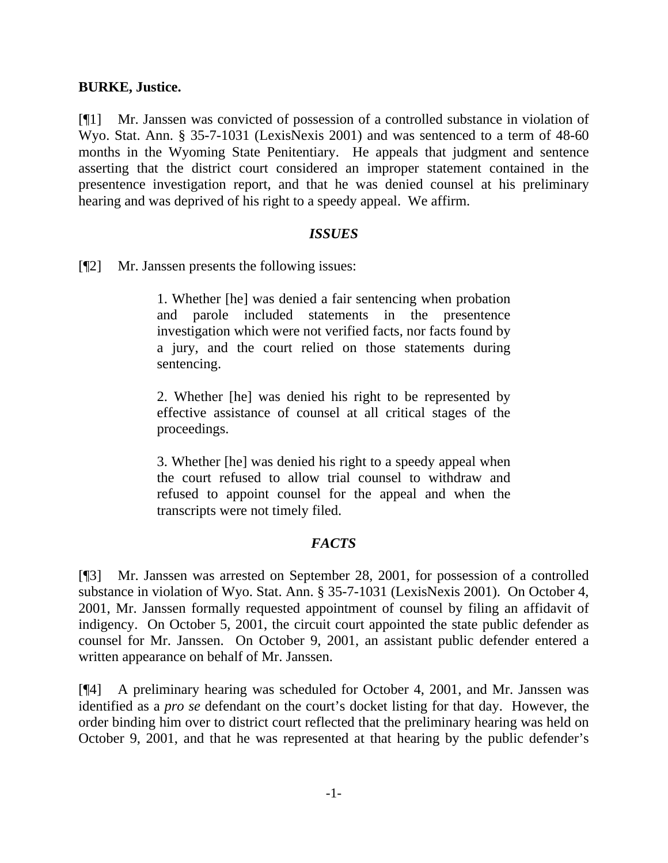## **BURKE, Justice.**

[¶1] Mr. Janssen was convicted of possession of a controlled substance in violation of Wyo. Stat. Ann. § 35-7-1031 (LexisNexis 2001) and was sentenced to a term of 48-60 months in the Wyoming State Penitentiary. He appeals that judgment and sentence asserting that the district court considered an improper statement contained in the presentence investigation report, and that he was denied counsel at his preliminary hearing and was deprived of his right to a speedy appeal. We affirm.

### *ISSUES*

[¶2] Mr. Janssen presents the following issues:

1. W hether [he] was denied a fair sentencing when probation and parole included statements in the presentence inve stigation which were not verified facts, nor facts found by a jury, and the court relied on those statements during sen tencing.

2. Whether [he] was denied his right to be represented by effective assistance of counsel at all critical stages of the proceedings.

3. W hether [he] was denied his right to a speedy appeal when the court refused to allow trial counsel to withdraw and refu sed to appoint counsel for the appeal and when the tran scripts were not timely filed.

# *FACTS*

[¶3] Mr. Janssen was arrested on September 28, 2001, for possession of a controlled substance in violation of Wyo. Stat. Ann. § 35-7-1031 (LexisNexis 2001). On October 4, 2001, Mr. Janssen formally requested appointment of counsel by filing an affidavit of indigency. On October 5, 2001, the circuit court appointed the state public defender as counsel for Mr. Janssen. On October 9, 2001, an assistant public defender entered a written appearance on behalf of Mr. Janssen.

[¶4] A preliminary hearing was scheduled for October 4, 2001, and Mr. Janssen was identified as a *pro se* defendant on the court's docket listing for that day. However, the order binding him over to district court reflected that the preliminary hearing was held on October 9, 2001, and that he was represented at that hearing by the public defender's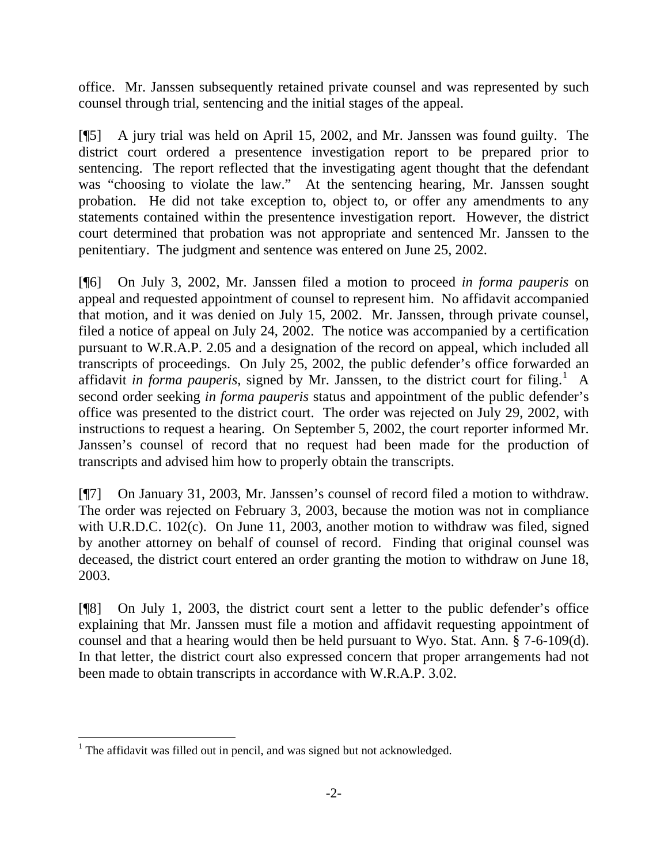office. Mr. Janssen subsequently retained private counsel and was represented by such counsel through trial, sentencing and the initial stages of the appeal.

[¶5] A jury trial was held on April 15, 2002, and Mr. Janssen was found guilty. The district court ordered a presentence investigation report to be prepared prior to sentencing. The report reflected that the investigating agent thought that the defendant was "choosing to violate the law." At the sentencing hearing, Mr. Janssen sought probation. He did not take exception to, object to, or offer any amendments to any statements contained within the presentence investigation report. However, the district court determined that probation was not appropriate and sentenced Mr. Janssen to the penitentiary. The judgment and sentence was entered on June 25, 2002.

[¶6] On July 3, 2002, Mr. Janssen filed a motion to proceed *in forma pauperis* on appeal and requested appointment of counsel to represent him. No affidavit accompanied that motion, and it was denied on July 15, 2002. Mr. Janssen, through private counsel, filed a notice of appeal on July 24, 2002. The notice was accompanied by a certification pursuant to W.R.A.P. 2.05 and a designation of the record on appeal, which included all transcripts of proceedings. On July 25, 2002, the public defender's office forwarded an affidavit *in forma pauperis*, signed by Mr. Janssen, to the district court for filing.<sup>[1](#page-2-0)</sup> A second order seeking *in forma pauperis* status and appointment of the public defender's office was presented to the district court. The order was rejected on July 29, 2002, with instructions to request a hearing. On September 5, 2002, the court reporter informed Mr. Janssen's counsel of record that no request had been made for the production of transcripts and advised him how to properly obtain the transcripts.

[¶7] On January 31, 2003, Mr. Janssen's counsel of record filed a motion to withdraw. The order was rejected on February 3, 2003, because the motion was not in compliance with U.R.D.C. 102(c). On June 11, 2003, another motion to withdraw was filed, signed by another attorney on behalf of counsel of record. Finding that original counsel was deceased, the district court entered an order granting the motion to withdraw on June 18, 2003.

[¶8] On July 1, 2003, the district court sent a letter to the public defender's office explaining that Mr. Janssen must file a motion and affidavit requesting appointment of counsel and that a hearing would then be held pursuant to Wyo. Stat. Ann. § 7-6-109(d). In that letter, the district court also expressed concern that proper arrangements had not been made to obtain transcripts in accordance with W.R.A.P. 3.02.

 $\overline{a}$ 

<span id="page-2-0"></span> $1$ <sup>1</sup> The affidavit was filled out in pencil, and was signed but not acknowledged.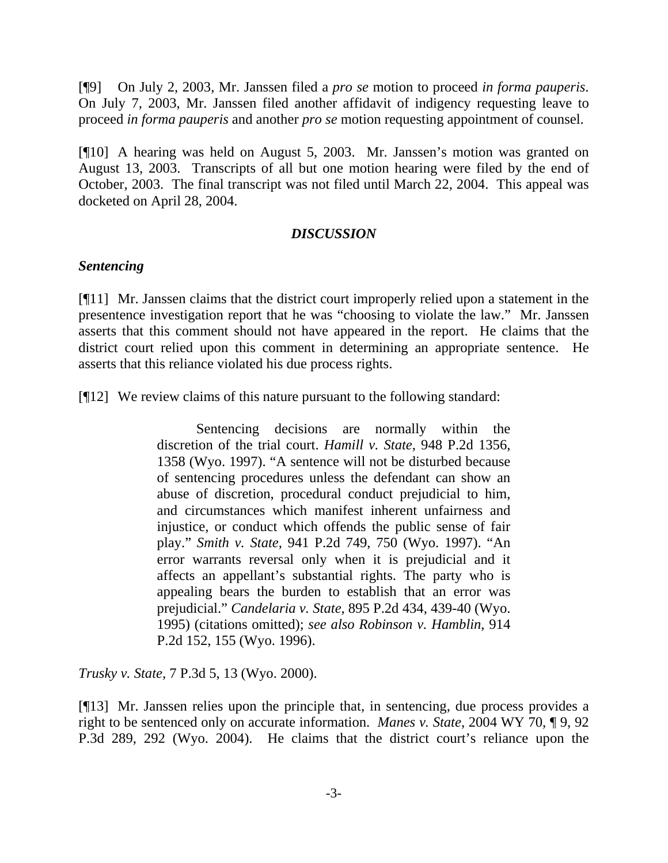[¶9] On July 2, 2003, Mr. Janssen filed a *pro se* motion to proceed *in forma pauperis*. On July 7, 2003, Mr. Janssen filed another affidavit of indigency requesting leave to proceed *in forma pauperis* and another *pro se* motion requesting appointment of counsel.

[¶10] A hearing was held on August 5, 2003. Mr. Janssen's motion was granted on August 13, 2003. Transcripts of all but one motion hearing were filed by the end of October, 2003. The final transcript was not filed until March 22, 2004. This appeal was docketed on April 28, 2004.

### *DISCUSSION*

#### *Sentencing*

[¶11] Mr. Janssen claims that the district court improperly relied upon a statement in the presentence investigation report that he was "choosing to violate the law." Mr. Janssen asserts that this comment should not have appeared in the report. He claims that the district court relied upon this comment in determining an appropriate sentence. He asserts that this reliance violated his due process rights.

[¶12] We review claims of this nature pursuant to the following standard:

 Sentencing decisions are normally within the discretion of the trial court. *Hamill v. State*, 948 P.2d 1356, 1358 (Wyo. 1997). "A sentence will not be disturbed because of sentencing procedures unless the defendant can show an abuse of discretion, procedural conduct prejudicial to him, and circumstances which manifest inherent unfairness and injustice, or conduct which offends the public sense of fair play." *Smith v. State*, 941 P.2d 749, 750 (Wyo. 1997). "An error warrants reversal only when it is prejudicial and it affects an appellant's substantial rights. The party who is appealing bears the burden to establish that an error was prejudicial." *Candelaria v. State*, 895 P.2d 434, 439-40 (Wyo. 1995) (citations omitted); *see also Robinson v. Hamblin*, 914 P.2d 152, 155 (Wyo. 1996).

*Trusky v. State*, 7 P.3d 5, 13 (Wyo. 2000).

[¶13] Mr. Janssen relies upon the principle that, in sentencing, due process provides a right to be sentenced only on accurate information. *Manes v. State*, 2004 WY 70, ¶ 9, 92 P.3d 289, 292 (Wyo. 2004). He claims that the district court's reliance upon the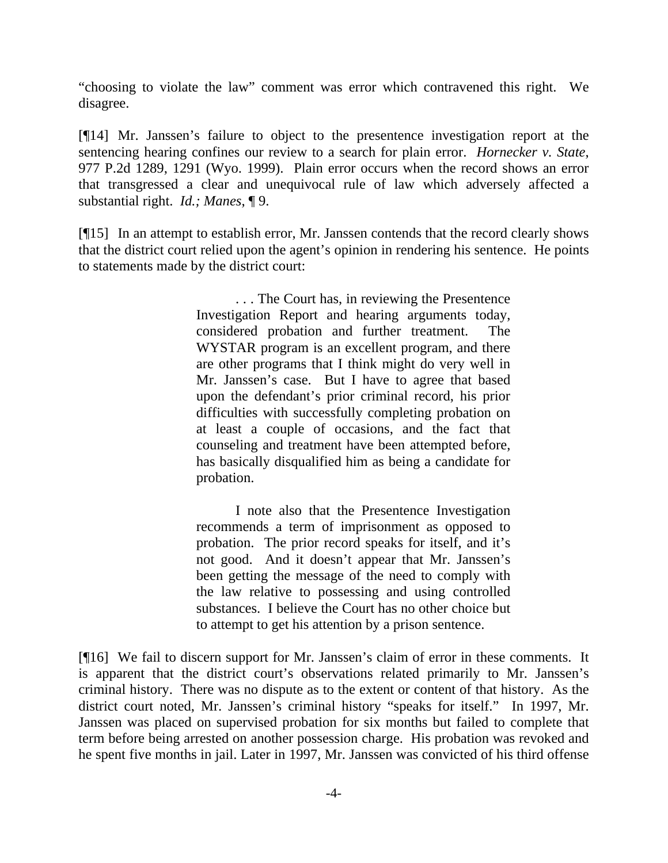"choosing to violate the law" comment was error which contravened this right. We disagree.

[¶14] Mr. Janssen's failure to object to the presentence investigation report at the sentencing hearing confines our review to a search for plain error. *Hornecker v. State*, 977 P.2d 1289, 1291 (Wyo. 1999). Plain error occurs when the record shows an error that transgressed a clear and unequivocal rule of law which adversely affected a substantial right. *Id.; Manes*, ¶ 9.

[¶15] In an attempt to establish error, Mr. Janssen contends that the record clearly shows that the district court relied upon the agent's opinion in rendering his sentence. He points to statements made by the district court:

> . . . The Court has, in reviewing the Presentence Investigation Report and hearing arguments today, considered probation and further treatment. The WYSTAR program is an excellent program, and there are other programs that I think might do very well in Mr. Janssen's case. But I have to agree that based upon the defendant's prior criminal record, his prior difficulties with successfully completing probation on at least a couple of occasions, and the fact that counseling and treatment have been attempted before, has basically disqualified him as being a candidate for probation.

> I note also that the Presentence Investigation recommends a term of imprisonment as opposed to probation. The prior record speaks for itself, and it's not good. And it doesn't appear that Mr. Janssen's been getting the message of the need to comply with the law relative to possessing and using controlled substances. I believe the Court has no other choice but to attempt to get his attention by a prison sentence.

[¶16] We fail to discern support for Mr. Janssen's claim of error in these comments. It is apparent that the district court's observations related primarily to Mr. Janssen's criminal history. There was no dispute as to the extent or content of that history. As the district court noted, Mr. Janssen's criminal history "speaks for itself." In 1997, Mr. Janssen was placed on supervised probation for six months but failed to complete that term before being arrested on another possession charge. His probation was revoked and he spent five months in jail. Later in 1997, Mr. Janssen was convicted of his third offense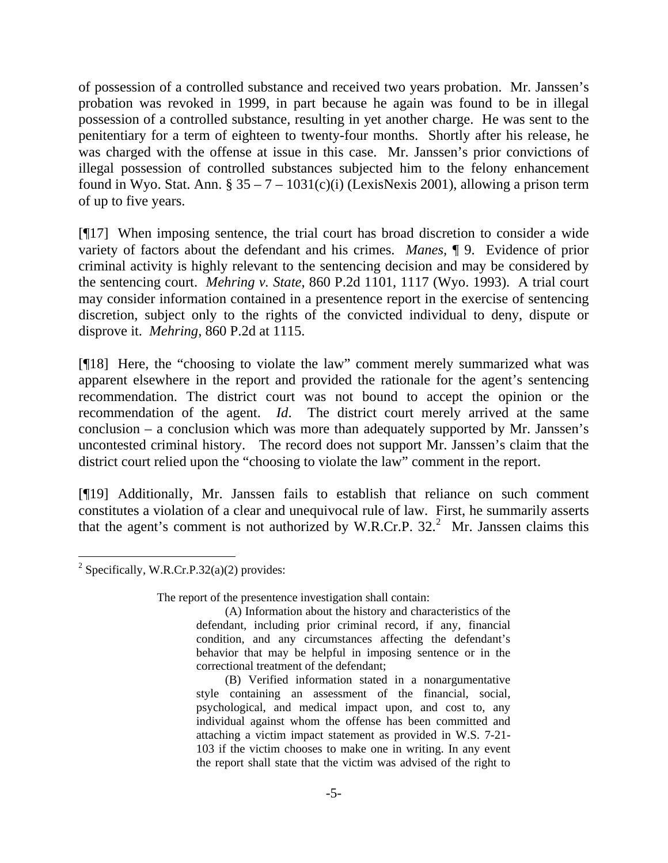of possession of a controlled substance and received two years probation. Mr. Janssen's probation was revoked in 1999, in part because he again was found to be in illegal possession of a controlled substance, resulting in yet another charge. He was sent to the penitentiary for a term of eighteen to twenty-four months. Shortly after his release, he was charged with the offense at issue in this case. Mr. Janssen's prior convictions of illegal possession of controlled substances subjected him to the felony enhancement found in Wyo. Stat. Ann.  $\S 35 - 7 - 1031(c)(i)$  (LexisNexis 2001), allowing a prison term of up to five years.

[¶17] When imposing sentence, the trial court has broad discretion to consider a wide variety of factors about the defendant and his crimes. *Manes,* ¶ 9. Evidence of prior criminal activity is highly relevant to the sentencing decision and may be considered by the sentencing court. *Mehring v. State*, 860 P.2d 1101, 1117 (Wyo. 1993). A trial court may consider information contained in a presentence report in the exercise of sentencing discretion, subject only to the rights of the convicted individual to deny, dispute or disprove it. *Mehring*, 860 P.2d at 1115.

[¶18] Here, the "choosing to violate the law" comment merely summarized what was apparent elsewhere in the report and provided the rationale for the agent's sentencing recommendation. The district court was not bound to accept the opinion or the recommendation of the agent. *Id*. The district court merely arrived at the same conclusion – a conclusion which was more than adequately supported by Mr. Janssen's uncontested criminal history. The record does not support Mr. Janssen's claim that the district court relied upon the "choosing to violate the law" comment in the report.

[¶19] Additionally, Mr. Janssen fails to establish that reliance on such comment constitutes a violation of a clear and unequivocal rule of law. First, he summarily asserts that the agent's comment is not authorized by W.R.Cr.P.  $32<sup>2</sup>$  $32<sup>2</sup>$  $32<sup>2</sup>$  Mr. Janssen claims this

The report of the presentence investigation shall contain:

<span id="page-5-0"></span> $\overline{a}$ <sup>2</sup> Specifically, W.R.Cr.P.32(a)(2) provides:

<sup>(</sup>A) Information about the history and characteristics of the defendant, including prior criminal record, if any, financial condition, and any circumstances affecting the defendant's behavior that may be helpful in imposing sentence or in the correctional treatment of the defendant;

<sup>(</sup>B) Verified information stated in a nonargumentative style containing an assessment of the financial, social, psychological, and medical impact upon, and cost to, any individual against whom the offense has been committed and attaching a victim impact statement as provided in W.S. 7-21- 103 if the victim chooses to make one in writing. In any event the report shall state that the victim was advised of the right to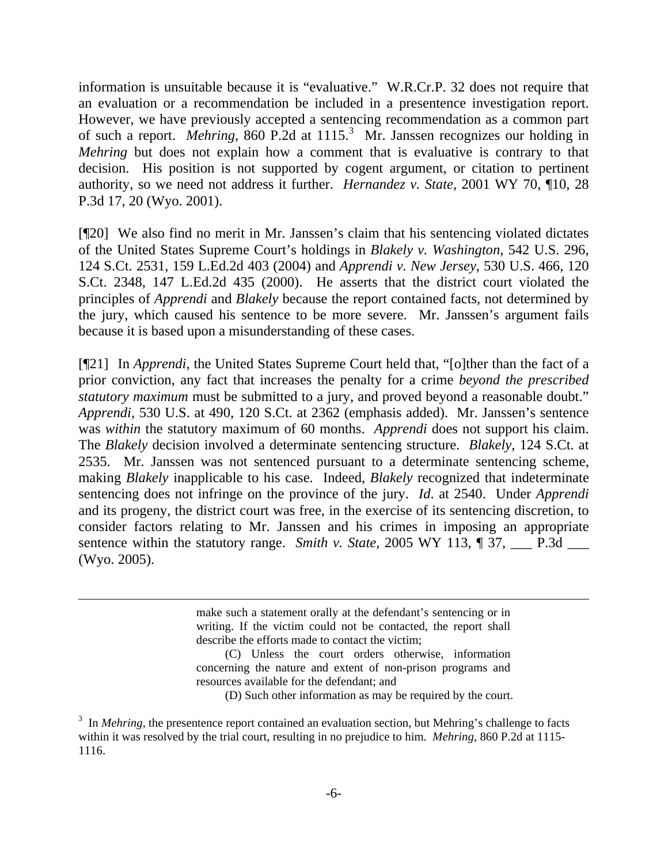information is unsuitable because it is "evaluative." W.R.Cr.P. 32 does not require that an evaluation or a recommendation be included in a presentence investigation report. However, we have previously accepted a sentencing recommendation as a common part of such a report. Mehring, 860 P.2d at 1115.<sup>[3](#page-6-0)</sup> Mr. Janssen recognizes our holding in *Mehring* but does not explain how a comment that is evaluative is contrary to that decision. His position is not supported by cogent argument, or citation to pertinent authority, so we need not address it further. *Hernandez v. State*, 2001 WY 70, ¶10, 28 P.3d 17, 20 (Wyo. 2001).

[¶20] We also find no merit in Mr. Janssen's claim that his sentencing violated dictates of the United States Supreme Court's holdings in *Blakely v. Washington*, 542 U.S. 296, 124 S.Ct. 2531, 159 L.Ed.2d 403 (2004) and *Apprendi v. New Jersey*, 530 U.S. 466, 120 S.Ct. 2348, 147 L.Ed.2d 435 (2000). He asserts that the district court violated the principles of *Apprendi* and *Blakely* because the report contained facts, not determined by the jury, which caused his sentence to be more severe. Mr. Janssen's argument fails because it is based upon a misunderstanding of these cases.

[¶21] In *Apprendi*, the United States Supreme Court held that, "[o]ther than the fact of a prior conviction, any fact that increases the penalty for a crime *beyond the prescribed statutory maximum* must be submitted to a jury, and proved beyond a reasonable doubt." *Apprendi,* 530 U.S. at 490, 120 S.Ct. at 2362 (emphasis added). Mr. Janssen's sentence was *within* the statutory maximum of 60 months. *Apprendi* does not support his claim. The *Blakely* decision involved a determinate sentencing structure. *Blakely,* 124 S.Ct. at 2535. Mr. Janssen was not sentenced pursuant to a determinate sentencing scheme, making *Blakely* inapplicable to his case. Indeed, *Blakely* recognized that indeterminate sentencing does not infringe on the province of the jury. *Id*. at 2540. Under *Apprendi* and its progeny, the district court was free, in the exercise of its sentencing discretion, to consider factors relating to Mr. Janssen and his crimes in imposing an appropriate sentence within the statutory range. *Smith v. State,* 2005 WY 113,  $\parallel$  37, \_\_\_ P.3d \_\_\_ (Wyo. 2005).

> make such a statement orally at the defendant's sentencing or in writing. If the victim could not be contacted, the report shall describe the efforts made to contact the victim;

> (C) Unless the court orders otherwise, information concerning the nature and extent of non-prison programs and resources available for the defendant; and

(D) Such other information as may be required by the court.

 $\overline{a}$ 

<span id="page-6-0"></span><sup>&</sup>lt;sup>3</sup> In *Mehring*, the presentence report contained an evaluation section, but Mehring's challenge to facts within it was resolved by the trial court, resulting in no prejudice to him. *Mehring*, 860 P.2d at 1115- 1116.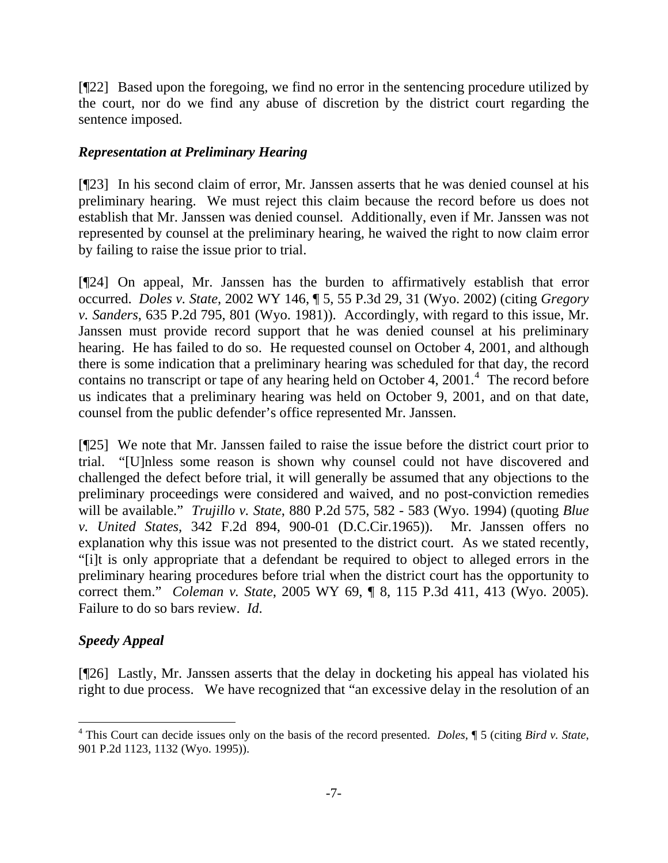[¶22] Based upon the foregoing, we find no error in the sentencing procedure utilized by the court, nor do we find any abuse of discretion by the district court regarding the sentence imposed.

## *Representation at Preliminary Hearing*

[¶23] In his second claim of error, Mr. Janssen asserts that he was denied counsel at his preliminary hearing. We must reject this claim because the record before us does not establish that Mr. Janssen was denied counsel. Additionally, even if Mr. Janssen was not represented by counsel at the preliminary hearing, he waived the right to now claim error by failing to raise the issue prior to trial.

[¶24] On appeal, Mr. Janssen has the burden to affirmatively establish that error occurred. *Doles v. State*, 2002 WY 146, ¶ 5, 55 P.3d 29, 31 (Wyo. 2002) (citing *Gregory v. Sanders*, 635 P.2d 795, 801 (Wyo. 1981)). Accordingly, with regard to this issue, Mr. Janssen must provide record support that he was denied counsel at his preliminary hearing. He has failed to do so. He requested counsel on October 4, 2001, and although there is some indication that a preliminary hearing was scheduled for that day, the record contains no transcript or tape of any hearing held on October [4](#page-7-0), 2001. $4$  The record before us indicates that a preliminary hearing was held on October 9, 2001, and on that date, counsel from the public defender's office represented Mr. Janssen.

[¶25] We note that Mr. Janssen failed to raise the issue before the district court prior to trial. "[U]nless some reason is shown why counsel could not have discovered and challenged the defect before trial, it will generally be assumed that any objections to the preliminary proceedings were considered and waived, and no post-conviction remedies will be available." *Trujillo v. State*, 880 P.2d 575, 582 - 583 (Wyo. 1994) (quoting *Blue v. United States*, 342 F.2d 894, 900-01 (D.C.Cir.1965)). Mr. Janssen offers no explanation why this issue was not presented to the district court. As we stated recently, "[i]t is only appropriate that a defendant be required to object to alleged errors in the preliminary hearing procedures before trial when the district court has the opportunity to correct them." *Coleman v. State*, 2005 WY 69, ¶ 8, 115 P.3d 411, 413 (Wyo. 2005). Failure to do so bars review. *Id*.

# *Speedy Appeal*

 $\overline{a}$ 

[¶26] Lastly, Mr. Janssen asserts that the delay in docketing his appeal has violated his right to due process. We have recognized that "an excessive delay in the resolution of an

<span id="page-7-0"></span><sup>4</sup> This Court can decide issues only on the basis of the record presented. *Doles*, ¶ 5 (citing *Bird v. State*, 901 P.2d 1123, 1132 (Wyo. 1995)).